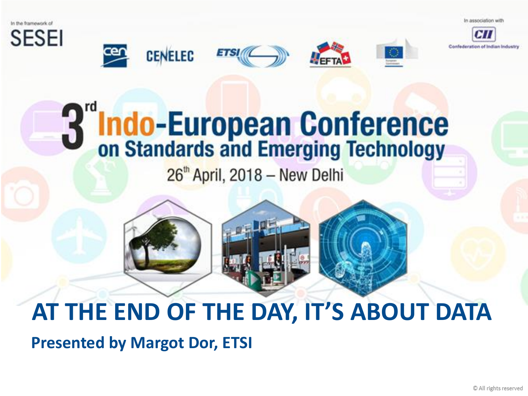In association with







**ETSI** 

 $26<sup>th</sup>$  April, 2018 - New Delhi

## **AT THE END OF THE DAY, IT'S ABOUT DATA**

**Presented by Margot Dor, ETSI**

**CENELEC**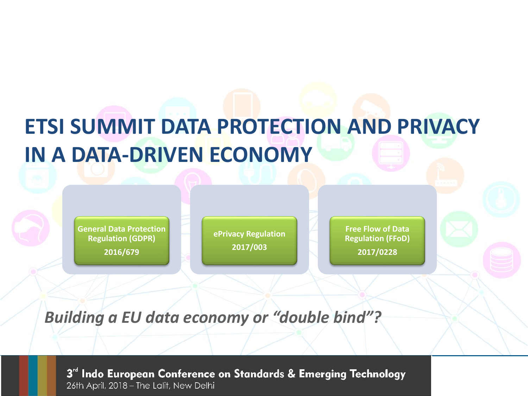## **ETSI SUMMIT DATA PROTECTION AND PRIVACY IN A DATA-DRIVEN ECONOMY**

**General Data Protection Regulation (GDPR) 2016/679**

**ePrivacy Regulation 2017/003**

**Free Flow of Data Regulation (FFoD) 2017/0228**

*Building a EU data economy or "double bind"?*

3<sup>rd</sup> Indo European Conference on Standards & Emerging Technology 26th April, 2018 - The Lalit, New Delhi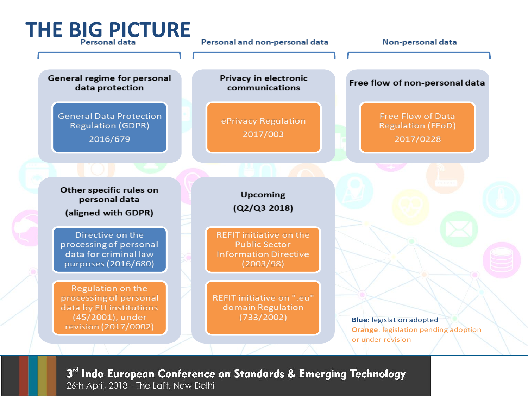

3<sup>rd</sup> Indo European Conference on Standards & Emerging Technology 26th April, 2018 - The Lalit, New Delhi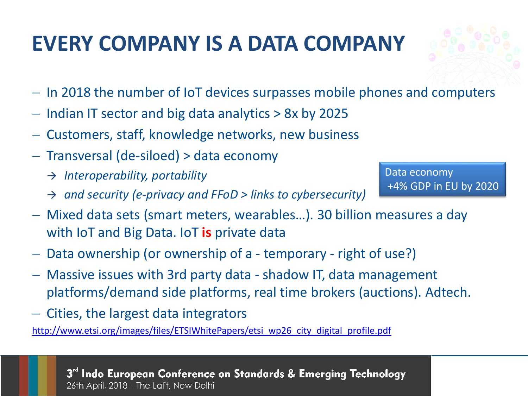#### **EVERY COMPANY IS A DATA COMPANY**

- − In 2018 the number of IoT devices surpasses mobile phones and computers
- − Indian IT sector and big data analytics > 8x by 2025
- − Customers, staff, knowledge networks, new business
- − Transversal (de-siloed) > data economy
	- → *Interoperability, portability*
	- → *and security (e-privacy and FFoD > links to cybersecurity)*
- − Mixed data sets (smart meters, wearables…). 30 billion measures a day with IoT and Big Data. IoT **is** private data
- − Data ownership (or ownership of a temporary right of use?)
- − Massive issues with 3rd party data shadow IT, data management platforms/demand side platforms, real time brokers (auctions). Adtech.
- − Cities, the largest data integrators

[http://www.etsi.org/images/files/ETSIWhitePapers/etsi\\_wp26\\_city\\_digital\\_profile.pdf](http://www.etsi.org/images/files/ETSIWhitePapers/etsi_wp26_city_digital_profile.pdf)

3" Indo European Conference on Standards & Emerging Technology 26th April, 2018 - The Lalit, New Delhi

Data economy +4% GDP in EU by 2020

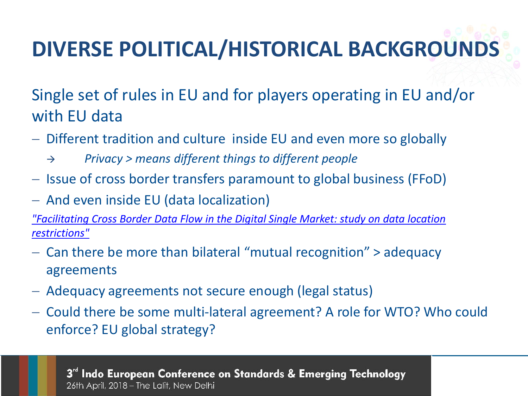# **DIVERSE POLITICAL/HISTORICAL BACKGROUNDS**

Single set of rules in EU and for players operating in EU and/or with EU data

- − Different tradition and culture inside EU and even more so globally
	- → *Privacy > means different things to different people*
- − Issue of cross border transfers paramount to global business (FFoD)
- − And even inside EU (data localization)

*["Facilitating Cross Border Data Flow in the Digital Single Market: study on data location](http://ec.europa.eu/newsroom/dae/document.cfm?doc_id=46695)  restrictions"*

- − Can there be more than bilateral "mutual recognition" > adequacy agreements
- − Adequacy agreements not secure enough (legal status)
- − Could there be some multi-lateral agreement? A role for WTO? Who could enforce? EU global strategy?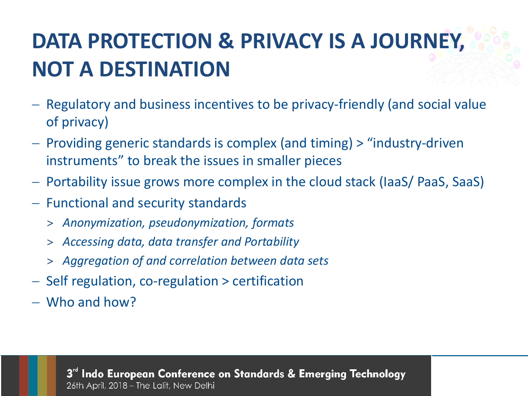## **DATA PROTECTION & PRIVACY IS A JOURNEY, NOT A DESTINATION**

- − Regulatory and business incentives to be privacy-friendly (and social value of privacy)
- − Providing generic standards is complex (and timing) > "industry-driven instruments" to break the issues in smaller pieces
- − Portability issue grows more complex in the cloud stack (IaaS/ PaaS, SaaS)
- − Functional and security standards
	- > *Anonymization, pseudonymization, formats*
	- > *Accessing data, data transfer and Portability*
	- > *Aggregation of and correlation between data sets*
- − Self regulation, co-regulation > certification
- − Who and how?